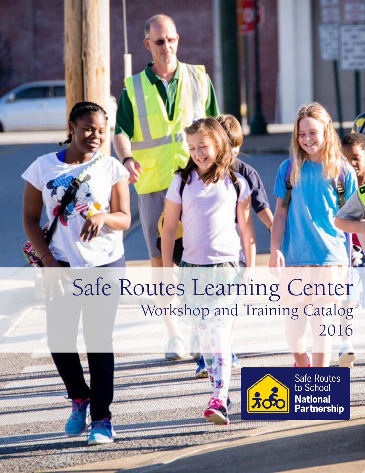## Safe Routes Learning Center Workshop and Training Catalog 2016



Safe Routes<br>to School<br>**National**<br>**Partnership**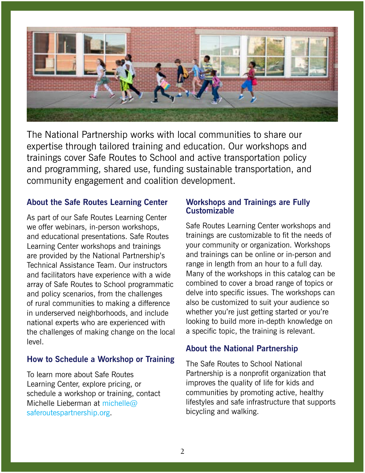

The National Partnership works with local communities to share our expertise through tailored training and education. Our workshops and trainings cover Safe Routes to School and active transportation policy and programming, shared use, funding sustainable transportation, and community engagement and coalition development.

#### **About the Safe Routes Learning Center**

As part of our Safe Routes Learning Center we offer webinars, in-person workshops, and educational presentations. Safe Routes Learning Center workshops and trainings are provided by the National Partnership's Technical Assistance Team. Our instructors and facilitators have experience with a wide array of Safe Routes to School programmatic and policy scenarios, from the challenges of rural communities to making a difference in underserved neighborhoods, and include national experts who are experienced with the challenges of making change on the local level.

#### **How to Schedule a Workshop or Training**

To learn more about Safe Routes Learning Center, explore pricing, or schedule a workshop or training, contact Michelle Lieberman at michelle  $\omega$ [saferoutespartnership.org](mailto:michelle%40saferoutespartnership.org?subject=).

#### **Workshops and Trainings are Fully Customizable**

Safe Routes Learning Center workshops and trainings are customizable to fit the needs of your community or organization. Workshops and trainings can be online or in-person and range in length from an hour to a full day. Many of the workshops in this catalog can be combined to cover a broad range of topics or delve into specific issues. The workshops can also be customized to suit your audience so whether you're just getting started or you're looking to build more in-depth knowledge on a specific topic, the training is relevant.

#### **About the National Partnership**

The Safe Routes to School National Partnership is a nonprofit organization that improves the quality of life for kids and communities by promoting active, healthy lifestyles and safe infrastructure that supports bicycling and walking.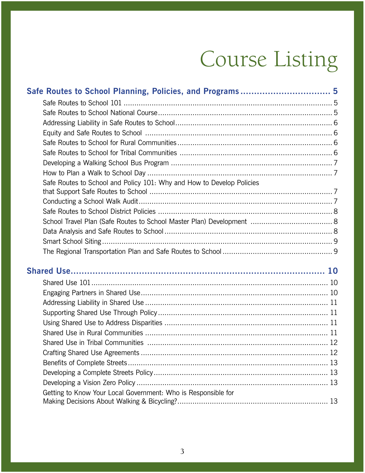# Course Listing

| Safe Routes to School and Policy 101: Why and How to Develop Policies |  |
|-----------------------------------------------------------------------|--|
|                                                                       |  |
|                                                                       |  |
|                                                                       |  |
|                                                                       |  |
|                                                                       |  |
|                                                                       |  |
|                                                                       |  |
|                                                                       |  |
|                                                                       |  |
|                                                                       |  |
|                                                                       |  |
|                                                                       |  |
|                                                                       |  |
|                                                                       |  |
|                                                                       |  |
|                                                                       |  |
|                                                                       |  |
|                                                                       |  |
| Getting to Know Your Local Government: Who is Responsible for         |  |
|                                                                       |  |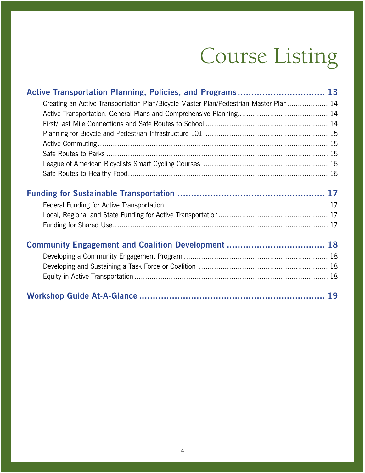# Course Listing

| Active Transportation Planning, Policies, and Programs 13                            |  |
|--------------------------------------------------------------------------------------|--|
| Creating an Active Transportation Plan/Bicycle Master Plan/Pedestrian Master Plan 14 |  |
|                                                                                      |  |
|                                                                                      |  |
|                                                                                      |  |
|                                                                                      |  |
|                                                                                      |  |
|                                                                                      |  |
|                                                                                      |  |
|                                                                                      |  |
|                                                                                      |  |
|                                                                                      |  |
|                                                                                      |  |
| Community Engagement and Coalition Development  18                                   |  |
|                                                                                      |  |
|                                                                                      |  |
|                                                                                      |  |
|                                                                                      |  |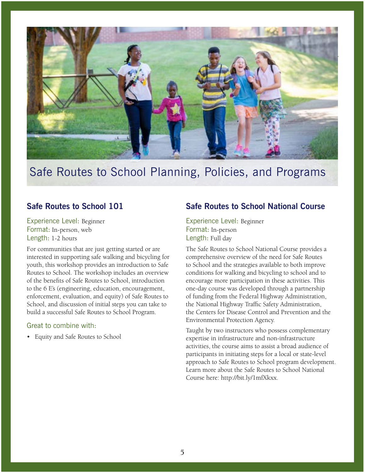<span id="page-4-0"></span>

## Safe Routes to School Planning, Policies, and Programs

#### **Safe Routes to School 101**

Experience Level: Beginner Format: In-person, web Length: 1-2 hours

For communities that are just getting started or are interested in supporting safe walking and bicycling for youth, this workshop provides an introduction to Safe Routes to School. The workshop includes an overview of the benefits of Safe Routes to School, introduction to the 6 E's (engineering, education, encouragement, enforcement, evaluation, and equity) of Safe Routes to School, and discussion of initial steps you can take to build a successful Safe Routes to School Program.

#### Great to combine with:

• Equity and Safe Routes to School

#### **Safe Routes to School National Course**

Experience Level: Beginner Format: In-person Length: Full day

The Safe Routes to School National Course provides a comprehensive overview of the need for Safe Routes to School and the strategies available to both improve conditions for walking and bicycling to school and to encourage more participation in these activities. This one-day course was developed through a partnership of funding from the Federal Highway Administration, the National Highway Traffic Safety Administration, the Centers for Disease Control and Prevention and the Environmental Protection Agency.

Taught by two instructors who possess complementary expertise in infrastructure and non-infrastructure activities, the course aims to assist a broad audience of participants in initiating steps for a local or state-level approach to Safe Routes to School program development. Learn more about the Safe Routes to School National Course here: http://bit.ly/1mfXkxx.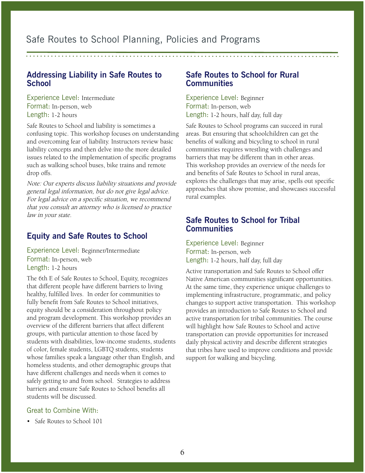<span id="page-5-0"></span>Safe Routes to School Planning, Policies and Programs

#### **Addressing Liability in Safe Routes to School**

Experience Level: Intermediate Format: In-person, web Length: 1-2 hours

Safe Routes to School and liability is sometimes a confusing topic. This workshop focuses on understanding and overcoming fear of liability. Instructors review basic liability concepts and then delve into the more detailed issues related to the implementation of specific programs such as walking school buses, bike trains and remote drop offs.

Note: Our experts discuss liability situations and provide general legal information, but do not give legal advice. For legal advice on a specific situation, we recommend that you consult an attorney who is licensed to practice law in your state.

#### **Equity and Safe Routes to School**

Experience Level: Beginner/Intermediate Format: In-person, web Length: 1-2 hours

The 6th E of Safe Routes to School, Equity, recognizes that different people have different barriers to living healthy, fulfilled lives. In order for communities to fully benefit from Safe Routes to School initiatives, equity should be a consideration throughout policy and program development. This workshop provides an overview of the different barriers that affect different groups, with particular attention to those faced by students with disabilities, low-income students, students of color, female students, LGBTQ students, students whose families speak a language other than English, and homeless students, and other demographic groups that have different challenges and needs when it comes to safely getting to and from school. Strategies to address barriers and ensure Safe Routes to School benefits all students will be discussed.

#### Great to Combine With:

• Safe Routes to School 101

#### **Safe Routes to School for Rural Communities**

Experience Level: Beginner Format: In-person, web Length: 1-2 hours, half day, full day

Safe Routes to School programs can succeed in rural areas. But ensuring that schoolchildren can get the benefits of walking and bicycling to school in rural communities requires wrestling with challenges and barriers that may be different than in other areas. This workshop provides an overview of the needs for and benefits of Safe Routes to School in rural areas, explores the challenges that may arise, spells out specific approaches that show promise, and showcases successful rural examples.

#### **Safe Routes to School for Tribal Communities**

Experience Level: Beginner Format: In-person, web Length: 1-2 hours, half day, full day

Active transportation and Safe Routes to School offer Native American communities significant opportunities. At the same time, they experience unique challenges to implementing infrastructure, programmatic, and policy changes to support active transportation. This workshop provides an introduction to Safe Routes to School and active transportation for tribal communities. The course will highlight how Safe Routes to School and active transportation can provide opportunities for increased daily physical activity and describe different strategies that tribes have used to improve conditions and provide support for walking and bicycling.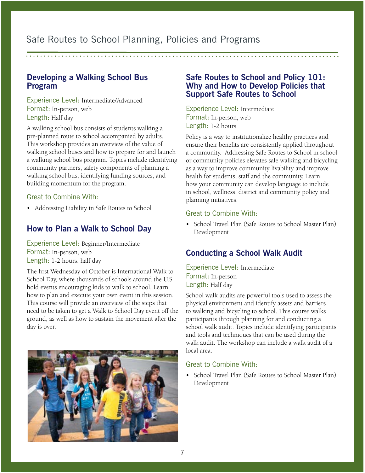#### <span id="page-6-0"></span>**Developing a Walking School Bus Program**

Experience Level: Intermediate/Advanced Format: In-person, web Length: Half day

A walking school bus consists of students walking a pre-planned route to school accompanied by adults. This workshop provides an overview of the value of walking school buses and how to prepare for and launch a walking school bus program. Topics include identifying community partners, safety components of planning a walking school bus, identifying funding sources, and building momentum for the program.

#### Great to Combine With:

• Addressing Liability in Safe Routes to School

#### **How to Plan a Walk to School Day**

Experience Level: Beginner/Intermediate Format: In-person, web Length: 1-2 hours, half day

The first Wednesday of October is International Walk to School Day, where thousands of schools around the U.S. hold events encouraging kids to walk to school. Learn how to plan and execute your own event in this session. This course will provide an overview of the steps that need to be taken to get a Walk to School Day event off the ground, as well as how to sustain the movement after the day is over.



#### **Safe Routes to School and Policy 101: Why and How to Develop Policies that Support Safe Routes to School**

Experience Level: Intermediate Format: In-person, web Length: 1-2 hours

Policy is a way to institutionalize healthy practices and ensure their benefits are consistently applied throughout a community. Addressing Safe Routes to School in school or community policies elevates safe walking and bicycling as a way to improve community livability and improve health for students, staff and the community. Learn how your community can develop language to include in school, wellness, district and community policy and planning initiatives.

#### Great to Combine With:

• School Travel Plan (Safe Routes to School Master Plan) Development

#### **Conducting a School Walk Audit**

Experience Level: Intermediate Format: In-person Length: Half day

School walk audits are powerful tools used to assess the physical environment and identify assets and barriers to walking and bicycling to school. This course walks participants through planning for and conducting a school walk audit. Topics include identifying participants and tools and techniques that can be used during the walk audit. The workshop can include a walk audit of a local area.

#### Great to Combine With:

• School Travel Plan (Safe Routes to School Master Plan) Development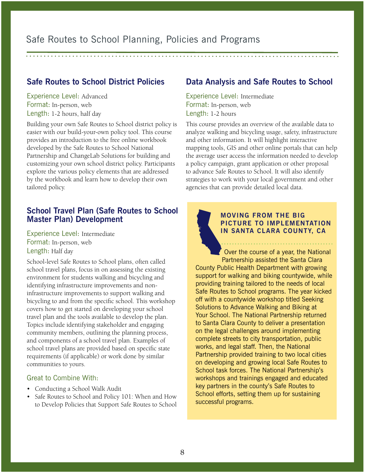#### <span id="page-7-0"></span>Safe Routes to School Planning, Policies and Programs

#### **Safe Routes to School District Policies**

Experience Level: Advanced Format: In-person, web Length: 1-2 hours, half day

Building your own Safe Routes to School district policy is easier with our build-your-own policy tool. This course provides an introduction to the free online workbook developed by the Safe Routes to School National Partnership and ChangeLab Solutions for building and customizing your own school district policy. Participants explore the various policy elements that are addressed by the workbook and learn how to develop their own tailored policy.

#### **School Travel Plan (Safe Routes to School Master Plan) Development**

Experience Level: Intermediate Format: In-person, web Length: Half day

School-level Safe Routes to School plans, often called school travel plans, focus in on assessing the existing environment for students walking and bicycling and identifying infrastructure improvements and noninfrastructure improvements to support walking and bicycling to and from the specific school. This workshop covers how to get started on developing your school travel plan and the tools available to develop the plan. Topics include identifying stakeholder and engaging community members, outlining the planning process, and components of a school travel plan. Examples of school travel plans are provided based on specific state requirements (if applicable) or work done by similar communities to yours.

#### Great to Combine With:

- Conducting a School Walk Audit
- Safe Routes to School and Policy 101: When and How to Develop Policies that Support Safe Routes to School

#### **Data Analysis and Safe Routes to School**

Experience Level: Intermediate Format: In-person, web Length: 1-2 hours

This course provides an overview of the available data to analyze walking and bicycling usage, safety, infrastructure and other information. It will highlight interactive mapping tools, GIS and other online portals that can help the average user access the information needed to develop a policy campaign, grant application or other proposal to advance Safe Routes to School. It will also identify strategies to work with your local government and other agencies that can provide detailed local data.

#### **MOVING FROM THE BIG PICTURE TO IMPLEMENTATION IN SANTA CLARA COUNTY, CA**

. . . . . . . . . . . . . . . . . . .

Over the course of a year, the National Partnership assisted the Santa Clara County Public Health Department with growing support for walking and biking countywide, while providing training tailored to the needs of local Safe Routes to School programs. The year kicked off with a countywide workshop titled Seeking Solutions to Advance Walking and Biking at Your School. The National Partnership returned to Santa Clara County to deliver a presentation on the legal challenges around implementing complete streets to city transportation, public works, and legal staff. Then, the National Partnership provided training to two local cities on developing and growing local Safe Routes to School task forces. The National Partnership's workshops and trainings engaged and educated key partners in the county's Safe Routes to School efforts, setting them up for sustaining successful programs.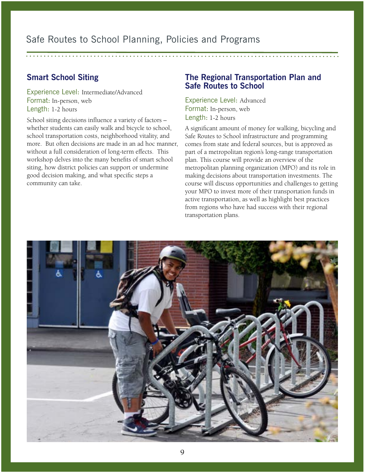#### <span id="page-8-0"></span>**Smart School Siting**

Experience Level: Intermediate/Advanced Format: In-person, web Length: 1-2 hours

School siting decisions influence a variety of factors – whether students can easily walk and bicycle to school, school transportation costs, neighborhood vitality, and more. But often decisions are made in an ad hoc manner, without a full consideration of long-term effects. This workshop delves into the many benefits of smart school siting, how district policies can support or undermine good decision making, and what specific steps a community can take.

#### **The Regional Transportation Plan and Safe Routes to School**

Experience Level: Advanced Format: In-person, web Length: 1-2 hours

A significant amount of money for walking, bicycling and Safe Routes to School infrastructure and programming comes from state and federal sources, but is approved as part of a metropolitan region's long-range transportation plan. This course will provide an overview of the metropolitan planning organization (MPO) and its role in making decisions about transportation investments. The course will discuss opportunities and challenges to getting your MPO to invest more of their transportation funds in active transportation, as well as highlight best practices from regions who have had success with their regional transportation plans.

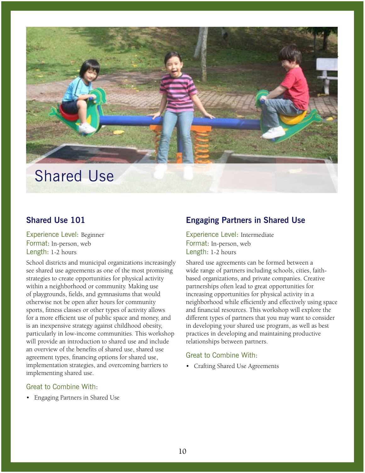<span id="page-9-0"></span>

#### **Shared Use 101**

Experience Level: Beginner Format: In-person, web Length: 1-2 hours

School districts and municipal organizations increasingly see shared use agreements as one of the most promising strategies to create opportunities for physical activity within a neighborhood or community. Making use of playgrounds, fields, and gymnasiums that would otherwise not be open after hours for community sports, fitness classes or other types of activity allows for a more efficient use of public space and money, and is an inexpensive strategy against childhood obesity, particularly in low-income communities. This workshop will provide an introduction to shared use and include an overview of the benefits of shared use, shared use agreement types, financing options for shared use, implementation strategies, and overcoming barriers to implementing shared use.

#### Great to Combine With:

• Engaging Partners in Shared Use

#### **Engaging Partners in Shared Use**

Experience Level: Intermediate Format: In-person, web Length: 1-2 hours

Shared use agreements can be formed between a wide range of partners including schools, cities, faithbased organizations, and private companies. Creative partnerships often lead to great opportunities for increasing opportunities for physical activity in a neighborhood while efficiently and effectively using space and financial resources. This workshop will explore the different types of partners that you may want to consider in developing your shared use program, as well as best practices in developing and maintaining productive relationships between partners.

#### Great to Combine With:

• Crafting Shared Use Agreements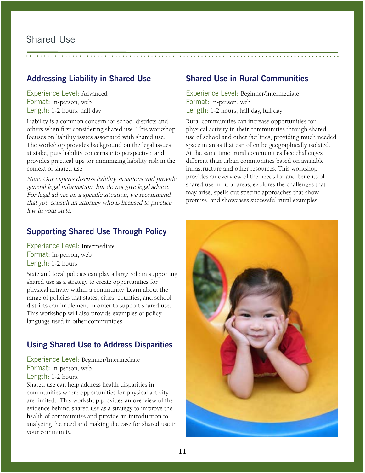#### <span id="page-10-0"></span>**Addressing Liability in Shared Use**

Experience Level: Advanced Format: In-person, web Length: 1-2 hours, half day

Liability is a common concern for school districts and others when first considering shared use. This workshop focuses on liability issues associated with shared use. The workshop provides background on the legal issues at stake, puts liability concerns into perspective, and provides practical tips for minimizing liability risk in the context of shared use.

Note: Our experts discuss liability situations and provide general legal information, but do not give legal advice. For legal advice on a specific situation, we recommend that you consult an attorney who is licensed to practice law in your state.

#### **Supporting Shared Use Through Policy**

Experience Level: Intermediate Format: In-person, web Length: 1-2 hours

State and local policies can play a large role in supporting shared use as a strategy to create opportunities for physical activity within a community. Learn about the range of policies that states, cities, counties, and school districts can implement in order to support shared use. This workshop will also provide examples of policy language used in other communities.

#### **Using Shared Use to Address Disparities**

Experience Level: Beginner/Intermediate Format: In-person, web Length: 1-2 hours,

Shared use can help address health disparities in communities where opportunities for physical activity are limited. This workshop provides an overview of the evidence behind shared use as a strategy to improve the health of communities and provide an introduction to analyzing the need and making the case for shared use in your community.

#### **Shared Use in Rural Communities**

Experience Level: Beginner/Intermediate Format: In-person, web Length: 1-2 hours, half day, full day

Rural communities can increase opportunities for physical activity in their communities through shared use of school and other facilities, providing much needed space in areas that can often be geographically isolated. At the same time, rural communities face challenges different than urban communities based on available infrastructure and other resources. This workshop provides an overview of the needs for and benefits of shared use in rural areas, explores the challenges that may arise, spells out specific approaches that show promise, and showcases successful rural examples.

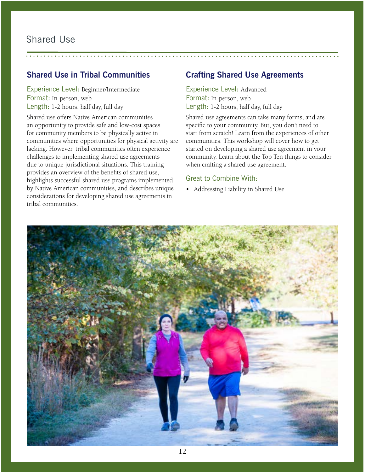#### <span id="page-11-0"></span>**Shared Use in Tribal Communities**

Experience Level: Beginner/Intermediate Format: In-person, web Length: 1-2 hours, half day, full day

Shared use offers Native American communities an opportunity to provide safe and low-cost spaces for community members to be physically active in communities where opportunities for physical activity are lacking. However, tribal communities often experience challenges to implementing shared use agreements due to unique jurisdictional situations. This training provides an overview of the benefits of shared use, highlights successful shared use programs implemented by Native American communities, and describes unique considerations for developing shared use agreements in tribal communities.

#### **Crafting Shared Use Agreements**

Experience Level: Advanced Format: In-person, web Length: 1-2 hours, half day, full day

Shared use agreements can take many forms, and are specific to your community. But, you don't need to start from scratch! Learn from the experiences of other communities. This workshop will cover how to get started on developing a shared use agreement in your community. Learn about the Top Ten things to consider when crafting a shared use agreement.

#### Great to Combine With:

• Addressing Liability in Shared Use

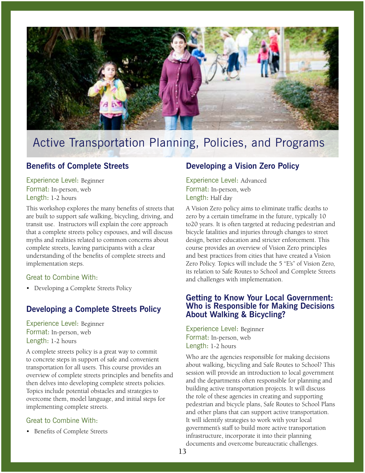<span id="page-12-0"></span>

#### **Benefits of Complete Streets**

Experience Level: Beginner Format: In-person, web Length: 1-2 hours

This workshop explores the many benefits of streets that are built to support safe walking, bicycling, driving, and transit use. Instructors will explain the core approach that a complete streets policy espouses, and will discuss myths and realities related to common concerns about complete streets, leaving participants with a clear understanding of the benefits of complete streets and implementation steps.

#### Great to Combine With:

• Developing a Complete Streets Policy

#### **Developing a Complete Streets Policy**

Experience Level: Beginner Format: In-person, web Length: 1-2 hours

A complete streets policy is a great way to commit to concrete steps in support of safe and convenient transportation for all users. This course provides an overview of complete streets principles and benefits and then delves into developing complete streets policies. Topics include potential obstacles and strategies to overcome them, model language, and initial steps for implementing complete streets.

#### Great to Combine With:

• Benefits of Complete Streets

#### **Developing a Vision Zero Policy**

Experience Level: Advanced Format: In-person, web Length: Half day

A Vision Zero policy aims to eliminate traffic deaths to zero by a certain timeframe in the future, typically 10 to20 years. It is often targeted at reducing pedestrian and bicycle fatalities and injuries through changes to street design, better education and stricter enforcement. This course provides an overview of Vision Zero principles and best practices from cities that have created a Vision Zero Policy. Topics will include the 5 "E's" of Vision Zero, its relation to Safe Routes to School and Complete Streets and challenges with implementation.

#### **Getting to Know Your Local Government: Who is Responsible for Making Decisions About Walking & Bicycling?**

Experience Level: Beginner Format: In-person, web Length: 1-2 hours

Who are the agencies responsible for making decisions about walking, bicycling and Safe Routes to School? This session will provide an introduction to local government and the departments often responsible for planning and building active transportation projects. It will discuss the role of these agencies in creating and supporting pedestrian and bicycle plans, Safe Routes to School Plans and other plans that can support active transportation. It will identify strategies to work with your local government's staff to build more active transportation infrastructure, incorporate it into their planning documents and overcome bureaucratic challenges.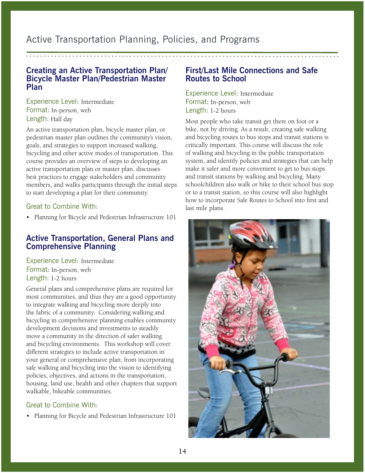#### <span id="page-13-0"></span>**Creating an Active Transportation Plan/ Bicycle Master Plan/Pedestrian Master Plan**

Experience Level: Intermediate Format: In-person, web Length: Half day

An active transportation plan, bicycle master plan, or pedestrian master plan outlines the community's vision, goals, and strategies to support increased walking, bicycling and other active modes of transportation. This course provides an overview of steps to developing an active transportation plan or master plan, discusses best practices to engage stakeholders and community members, and walks participants through the initial steps to start developing a plan for their community.

#### Great to Combine With:

• Planning for Bicycle and Pedestrian Infrastructure 101

#### **Active Transportation, General Plans and Comprehensive Planning**

Experience Level: Intermediate Format: In-person, web Length: 1-2 hours

General plans and comprehensive plans are required for most communities, and thus they are a good opportunity to integrate walking and bicycling more deeply into the fabric of a community. Considering walking and bicycling in comprehensive planning enables community development decisions and investments to steadily move a community in the direction of safer walking and bicycling environments. This workshop will cover different strategies to include active transportation in your general or comprehensive plan, from incorporating safe walking and bicycling into the vision to identifying policies, objectives, and actions in the transportation, housing, land use, health and other chapters that support walkable, bikeable communities.

#### Great to Combine With:

• Planning for Bicycle and Pedestrian Infrastructure 101

#### **First/Last Mile Connections and Safe Routes to School**

Experience Level: Intermediate Format: In-person, web Length: 1-2 hours

Most people who take transit get there on foot or a bike, not by driving. As a result, creating safe walking and bicycling routes to bus stops and transit stations is critically important. This course will discuss the role of walking and bicycling in the public transportation system, and identify policies and strategies that can help make it safer and more convenient to get to bus stops and transit stations by walking and bicycling. Many schoolchildren also walk or bike to their school bus stop or to a transit station, so this course will also highlight how to incorporate Safe Routes to School into first and last mile plans.

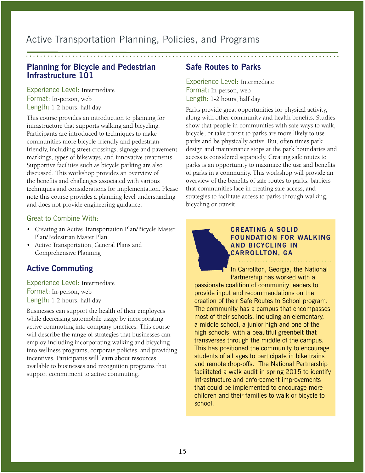#### <span id="page-14-0"></span>**Planning for Bicycle and Pedestrian Infrastructure 101**

Experience Level: Intermediate Format: In-person, web Length: 1-2 hours, half day

This course provides an introduction to planning for infrastructure that supports walking and bicycling. Participants are introduced to techniques to make communities more bicycle-friendly and pedestrianfriendly, including street crossings, signage and pavement markings, types of bikeways, and innovative treatments. Supportive facilities such as bicycle parking are also discussed. This workshop provides an overview of the benefits and challenges associated with various techniques and considerations for implementation. Please note this course provides a planning level understanding and does not provide engineering guidance.

#### Great to Combine With:

- Creating an Active Transportation Plan/Bicycle Master Plan/Pedestrian Master Plan
- Active Transportation, General Plans and Comprehensive Planning

#### **Active Commuting**

Experience Level: Intermediate Format: In-person, web Length: 1-2 hours, half day

Businesses can support the health of their employees while decreasing automobile usage by incorporating active commuting into company practices. This course will describe the range of strategies that businesses can employ including incorporating walking and bicycling into wellness programs, corporate policies, and providing incentives. Participants will learn about resources available to businesses and recognition programs that support commitment to active commuting.

#### **Safe Routes to Parks**

Experience Level: Intermediate Format: In-person, web Length: 1-2 hours, half day

Parks provide great opportunities for physical activity, along with other community and health benefits. Studies show that people in communities with safe ways to walk, bicycle, or take transit to parks are more likely to use parks and be physically active. But, often times park design and maintenance stops at the park boundaries and access is considered separately. Creating safe routes to parks is an opportunity to maximize the use and benefits of parks in a community. This workshop will provide an overview of the benefits of safe routes to parks, barriers that communities face in creating safe access, and strategies to facilitate access to parks through walking, bicycling or transit.

#### **CREATING A SOLID FOUNDATION FOR WALKING AND BICYCLING IN CARROLLTON, GA**

In Carrollton, Georgia, the National Partnership has worked with a passionate coalition of community leaders to provide input and recommendations on the creation of their Safe Routes to School program. The community has a campus that encompasses most of their schools, including an elementary, a middle school, a junior high and one of the high schools, with a beautiful greenbelt that transverses through the middle of the campus. This has positioned the community to encourage students of all ages to participate in bike trains and remote drop-offs. The National Partnership facilitated a walk audit in spring 2015 to identify infrastructure and enforcement improvements that could be implemented to encourage more children and their families to walk or bicycle to school.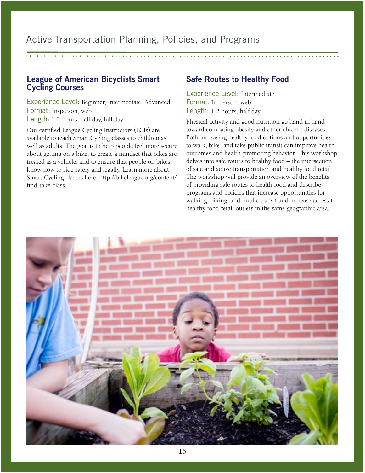#### <span id="page-15-0"></span>**League of American Bicyclists Smart Cycling Courses**

Experience Level: Beginner, Intermediate, Advanced Format: In-person, web Length: 1-2 hours, half day, full day

Our certified League Cycling Instructors (LCIs) are available to teach Smart Cycling classes to children as well as adults. The goal is to help people feel more secure about getting on a bike, to create a mindset that bikes are treated as a vehicle, and to ensure that people on bikes know how to ride safely and legally. Learn more about Smart Cycling classes here: http://bikeleague.org/content/ find-take-class.

#### **Safe Routes to Healthy Food**

Experience Level: Intermediate Format: In-person, web Length: 1-2 hours, half day

Physical activity and good nutrition go hand in hand toward combating obesity and other chronic diseases. Both increasing healthy food options and opportunities to walk, bike, and take public transit can improve health outcomes and health-promoting behavior. This workshop delves into safe routes to healthy food – the intersection of safe and active transportation and healthy food retail. The workshop will provide an overview of the benefits of providing safe routes to health food and describe programs and policies that increase opportunities for walking, biking, and public transit and increase access to healthy food retail outlets in the same geographic area.

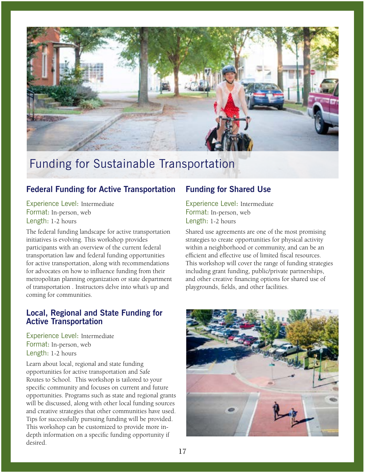<span id="page-16-0"></span>

## Funding for Sustainable Transportation

#### **Federal Funding for Active Transportation**

Experience Level: Intermediate Format: In-person, web Length: 1-2 hours

The federal funding landscape for active transportation initiatives is evolving. This workshop provides participants with an overview of the current federal transportation law and federal funding opportunities for active transportation, along with recommendations for advocates on how to influence funding from their metropolitan planning organization or state department of transportation . Instructors delve into what's up and coming for communities.

#### **Local, Regional and State Funding for Active Transportation**

Experience Level: Intermediate Format: In-person, web Length: 1-2 hours

Learn about local, regional and state funding opportunities for active transportation and Safe Routes to School. This workshop is tailored to your specific community and focuses on current and future opportunities. Programs such as state and regional grants will be discussed, along with other local funding sources and creative strategies that other communities have used. Tips for successfully pursuing funding will be provided. This workshop can be customized to provide more indepth information on a specific funding opportunity if desired.

#### **Funding for Shared Use**

Experience Level: Intermediate Format: In-person, web Length: 1-2 hours

Shared use agreements are one of the most promising strategies to create opportunities for physical activity within a neighborhood or community, and can be an efficient and effective use of limited fiscal resources. This workshop will cover the range of funding strategies including grant funding, public/private partnerships, and other creative financing options for shared use of playgrounds, fields, and other facilities.

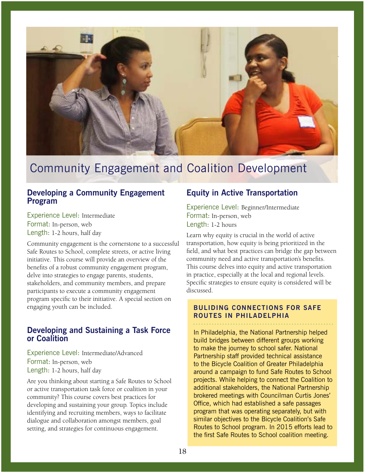<span id="page-17-0"></span>

## Community Engagement and Coalition Development

#### **Developing a Community Engagement Program**

Experience Level: Intermediate Format: In-person, web Length: 1-2 hours, half day

Community engagement is the cornerstone to a successful Safe Routes to School, complete streets, or active living initiative. This course will provide an overview of the benefits of a robust community engagement program, delve into strategies to engage parents, students, stakeholders, and community members, and prepare participants to execute a community engagement program specific to their initiative. A special section on engaging youth can be included.

#### **Developing and Sustaining a Task Force or Coalition**

Experience Level: Intermediate/Advanced Format: In-person, web Length: 1-2 hours, half day

Are you thinking about starting a Safe Routes to School or active transportation task force or coalition in your community? This course covers best practices for developing and sustaining your group. Topics include identifying and recruiting members, ways to facilitate dialogue and collaboration amongst members, goal setting, and strategies for continuous engagement.

#### **Equity in Active Transportation**

Experience Level: Beginner/Intermediate Format: In-person, web Length: 1-2 hours

Learn why equity is crucial in the world of active transportation, how equity is being prioritized in the field, and what best practices can bridge the gap between community need and active transportation's benefits. This course delves into equity and active transportation in practice, especially at the local and regional levels. Specific strategies to ensure equity is considered will be discussed.

#### **BULIDING CONNECTIONS FOR SAFE ROUTES IN PHILADELPHIA**

In Philadelphia, the National Partnership helped build bridges between different groups working to make the journey to school safer. National Partnership staff provided technical assistance to the Bicycle Coalition of Greater Philadelphia around a campaign to fund Safe Routes to School projects. While helping to connect the Coalition to additional stakeholders, the National Partnership brokered meetings with Councilman Curtis Jones' Office, which had established a safe passages program that was operating separately, but with similar objectives to the Bicycle Coalition's Safe Routes to School program. In 2015 efforts lead to the first Safe Routes to School coalition meeting.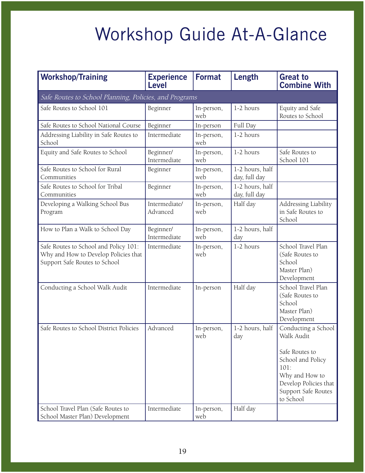# Workshop Guide At-A-Glance

| <b>Workshop/Training</b>                                                                                       | <b>Experience</b><br><b>Level</b> | <b>Format</b>     | <b>Length</b>                    | <b>Great to</b><br><b>Combine With</b>                                                                                                                          |
|----------------------------------------------------------------------------------------------------------------|-----------------------------------|-------------------|----------------------------------|-----------------------------------------------------------------------------------------------------------------------------------------------------------------|
| Safe Routes to School Planning, Policies, and Programs                                                         |                                   |                   |                                  |                                                                                                                                                                 |
| Safe Routes to School 101                                                                                      | Beginner                          | In-person,<br>web | 1-2 hours                        | Equity and Safe<br>Routes to School                                                                                                                             |
| Safe Routes to School National Course                                                                          | Beginner                          | In-person         | Full Day                         |                                                                                                                                                                 |
| Addressing Liability in Safe Routes to<br>School                                                               | Intermediate                      | In-person,<br>web | 1-2 hours                        |                                                                                                                                                                 |
| Equity and Safe Routes to School                                                                               | Beginner/<br>Intermediate         | In-person,<br>web | 1-2 hours                        | Safe Routes to<br>School 101                                                                                                                                    |
| Safe Routes to School for Rural<br>Communities                                                                 | Beginner                          | In-person,<br>web | 1-2 hours, half<br>day, full day |                                                                                                                                                                 |
| Safe Routes to School for Tribal<br>Communities                                                                | Beginner                          | In-person,<br>web | 1-2 hours, half<br>day, full day |                                                                                                                                                                 |
| Developing a Walking School Bus<br>Program                                                                     | Intermediate/<br>Advanced         | In-person,<br>web | Half day                         | Addressing Liability<br>in Safe Routes to<br>School                                                                                                             |
| How to Plan a Walk to School Day                                                                               | Beginner/<br>Intermediate         | In-person,<br>web | 1-2 hours, half<br>day           |                                                                                                                                                                 |
| Safe Routes to School and Policy 101:<br>Why and How to Develop Policies that<br>Support Safe Routes to School | Intermediate                      | In-person,<br>web | 1-2 hours                        | School Travel Plan<br>(Safe Routes to<br>School<br>Master Plan)<br>Development                                                                                  |
| Conducting a School Walk Audit                                                                                 | Intermediate                      | In-person         | Half day                         | School Travel Plan<br>(Safe Routes to<br>School<br>Master Plan)<br>Development                                                                                  |
| Safe Routes to School District Policies                                                                        | Advanced                          | In-person,<br>web | 1-2 hours, half<br>day           | Conducting a School<br>Walk Audit<br>Safe Routes to<br>School and Policy<br>101:<br>Why and How to<br>Develop Policies that<br>Support Safe Routes<br>to School |
| School Travel Plan (Safe Routes to<br>School Master Plan) Development                                          | Intermediate                      | In-person,<br>web | Half day                         |                                                                                                                                                                 |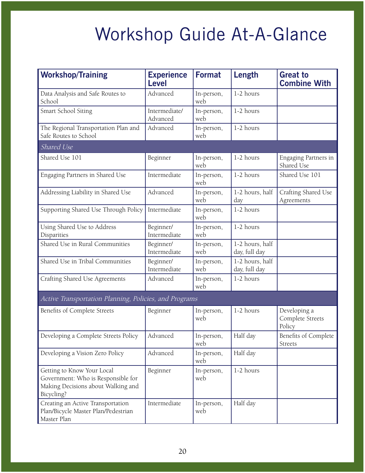# Workshop Guide At-A-Glance

| <b>Workshop/Training</b>                                                                                             | <b>Experience</b><br><b>Level</b> | <b>Format</b>     | Length                           | <b>Great to</b><br><b>Combine With</b>     |
|----------------------------------------------------------------------------------------------------------------------|-----------------------------------|-------------------|----------------------------------|--------------------------------------------|
| Data Analysis and Safe Routes to<br>School                                                                           | Advanced                          | In-person,<br>web | 1-2 hours                        |                                            |
| Smart School Siting                                                                                                  | Intermediate/<br>Advanced         | In-person,<br>web | 1-2 hours                        |                                            |
| The Regional Transportation Plan and<br>Safe Routes to School                                                        | Advanced                          | In-person,<br>web | 1-2 hours                        |                                            |
| Shared Use                                                                                                           |                                   |                   |                                  |                                            |
| Shared Use 101                                                                                                       | Beginner                          | In-person,<br>web | 1-2 hours                        | Engaging Partners in<br>Shared Use         |
| Engaging Partners in Shared Use                                                                                      | Intermediate                      | In-person,<br>web | 1-2 hours                        | Shared Use 101                             |
| Addressing Liability in Shared Use                                                                                   | Advanced                          | In-person,<br>web | 1-2 hours, half<br>day           | Crafting Shared Use<br>Agreements          |
| Supporting Shared Use Through Policy                                                                                 | Intermediate                      | In-person,<br>web | 1-2 hours                        |                                            |
| Using Shared Use to Address<br>Disparities                                                                           | Beginner/<br>Intermediate         | In-person,<br>web | 1-2 hours                        |                                            |
| Shared Use in Rural Communities                                                                                      | Beginner/<br>Intermediate         | In-person,<br>web | 1-2 hours, half<br>day, full day |                                            |
| Shared Use in Tribal Communities                                                                                     | Beginner/<br>Intermediate         | In-person,<br>web | 1-2 hours, half<br>day, full day |                                            |
| Crafting Shared Use Agreements                                                                                       | Advanced                          | In-person,<br>web | 1-2 hours                        |                                            |
| Active Transportation Planning, Policies, and Programs                                                               |                                   |                   |                                  |                                            |
| Benefits of Complete Streets                                                                                         | Beginner                          | In-person,<br>web | 1-2 hours                        | Developing a<br>Complete Streets<br>Policy |
| Developing a Complete Streets Policy                                                                                 | Advanced                          | In-person,<br>web | Half day                         | <b>Benefits of Complete</b><br>Streets     |
| Developing a Vision Zero Policy                                                                                      | Advanced                          | In-person,<br>web | Half day                         |                                            |
| Getting to Know Your Local<br>Government: Who is Responsible for<br>Making Decisions about Walking and<br>Bicycling? | Beginner                          | In-person,<br>web | 1-2 hours                        |                                            |
| Creating an Active Transportation<br>Plan/Bicycle Master Plan/Pedestrian<br>Master Plan                              | Intermediate                      | In-person,<br>web | Half day                         |                                            |